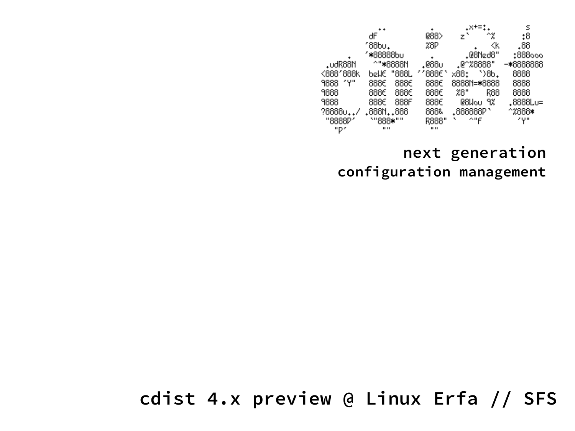|            |           |                 | +×+=*                   | s         |
|------------|-----------|-----------------|-------------------------|-----------|
|            | dF.       | 088>            | ^%<br>z,                | :8        |
|            | '88bu.    | %8P             | ≪k                      | .88       |
|            | ″*88888b∪ |                 | .@8Ned8"                | :888000   |
| .udR88N    | ^"*8888N  | .088∪           | .@^%8888"               | -*8888888 |
| <888'888k  | bellE     | ′′888€<br>"888L | $\mathcal{B}$ .<br>x88: | 8888      |
| ″۳<br>9888 | 888€      | 888€<br>888€    | 8888N=*8888             | 8888      |
| 9888       | 888€      | 888€<br>888€    | 28"<br>R88              | 8888      |
| 9888       | 888€      | 888F<br>888€    | 08Wou<br>9%             | .8888Lu=  |
| ?8888u/    | .888N888  | 888&            | $.888888P$ `            | ^%888∗    |
| "8888P"    | `"888*""  | R888"           | ^"F                     | zựm       |
| "D"        | 1111      | $\mathbf{H}$    |                         |           |

#### **next generation configuration management**

**cdist 4.x preview @ Linux Erfa // SFS**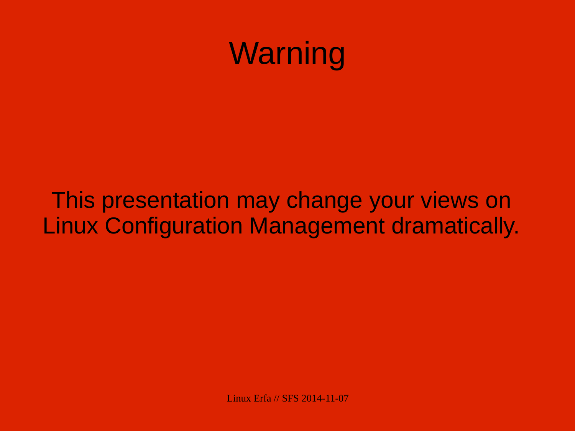

#### This presentation may change your views on Linux Configuration Management dramatically.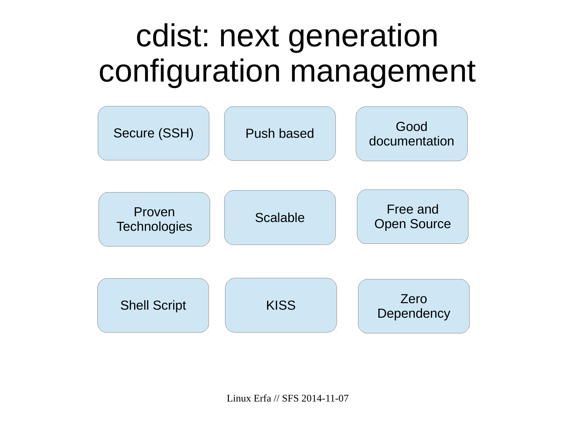### cdist: next generation configuration management

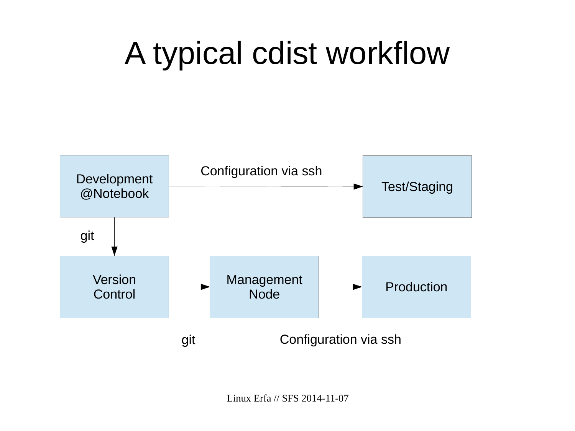# A typical cdist workflow

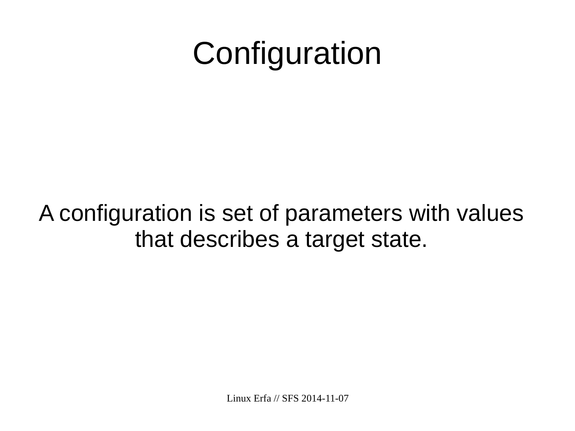## **Configuration**

### A configuration is set of parameters with values that describes a target state.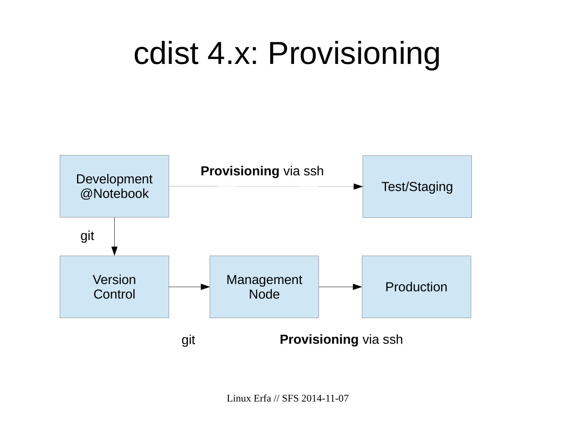### cdist 4.x: Provisioning

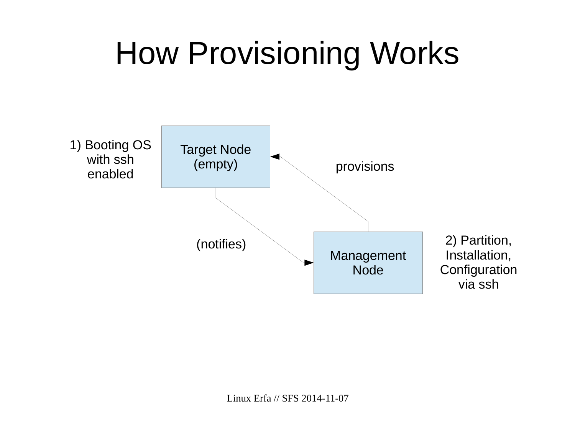### How Provisioning Works

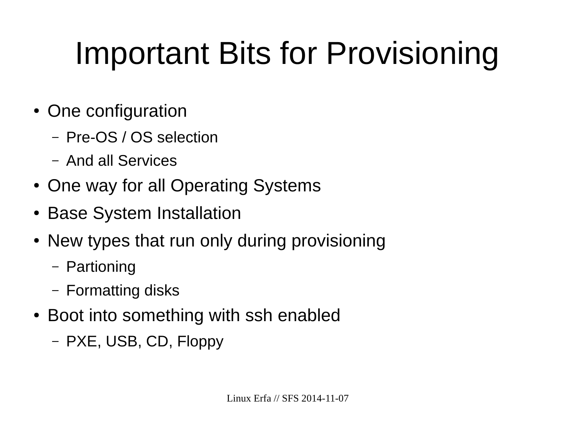# Important Bits for Provisioning

- One configuration
	- Pre-OS / OS selection
	- And all Services
- One way for all Operating Systems
- Base System Installation
- New types that run only during provisioning
	- Partioning
	- Formatting disks
- Boot into something with ssh enabled
	- PXE, USB, CD, Floppy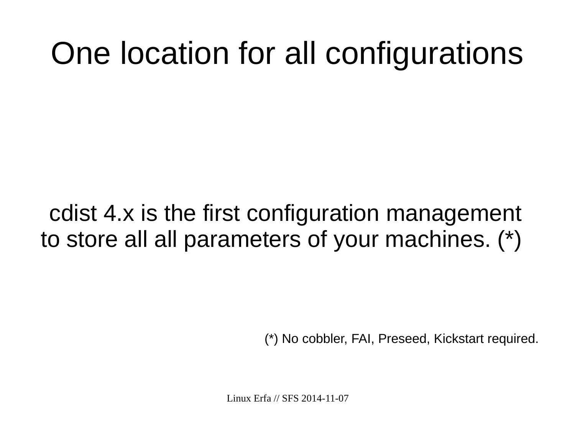### One location for all configurations

### cdist 4.x is the first configuration management to store all all parameters of your machines. (\*)

(\*) No cobbler, FAI, Preseed, Kickstart required.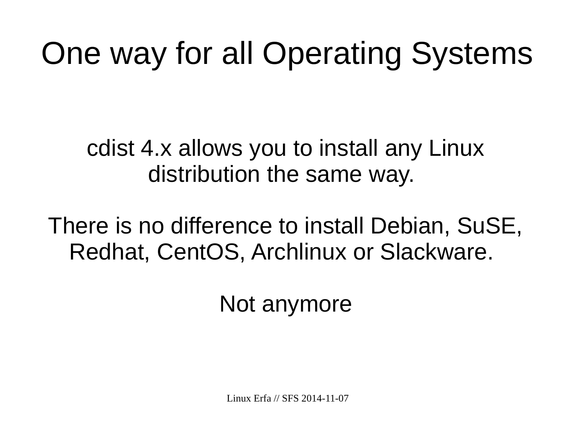# One way for all Operating Systems

cdist 4.x allows you to install any Linux distribution the same way.

There is no difference to install Debian, SuSE, Redhat, CentOS, Archlinux or Slackware.

Not anymore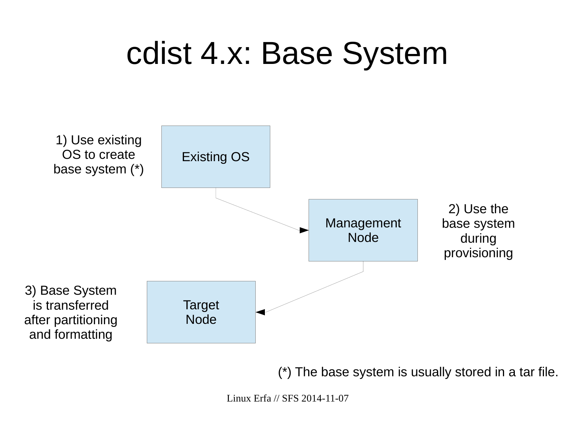### cdist 4.x: Base System



(\*) The base system is usually stored in a tar file.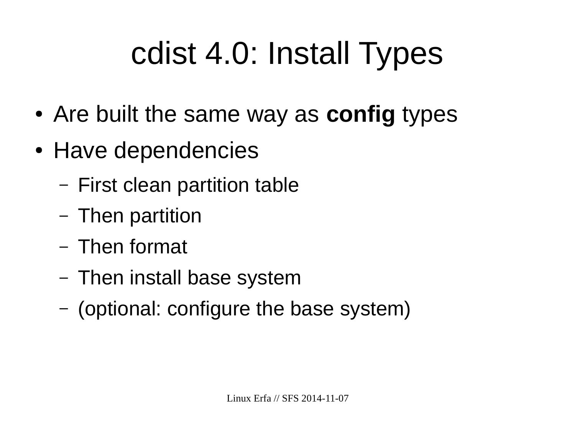# cdist 4.0: Install Types

- Are built the same way as **config** types
- Have dependencies
	- First clean partition table
	- Then partition
	- Then format
	- Then install base system
	- (optional: configure the base system)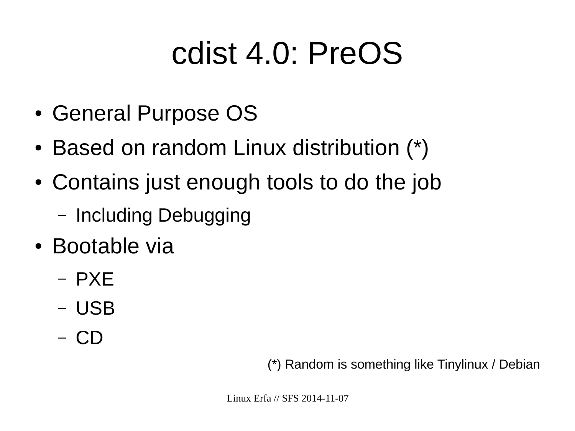### cdist 4.0: PreOS

- General Purpose OS
- Based on random Linux distribution (\*)
- Contains just enough tools to do the job
	- Including Debugging
- Bootable via
	- PXE
	- USB
	- CD

(\*) Random is something like Tinylinux / Debian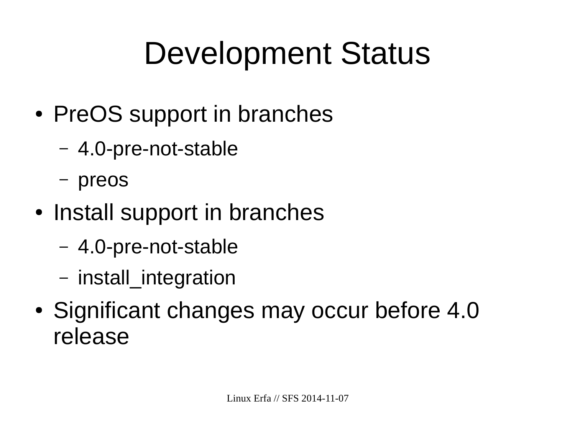# Development Status

- PreOS support in branches
	- 4.0-pre-not-stable
	- preos
- Install support in branches
	- 4.0-pre-not-stable
	- install\_integration
- Significant changes may occur before 4.0 release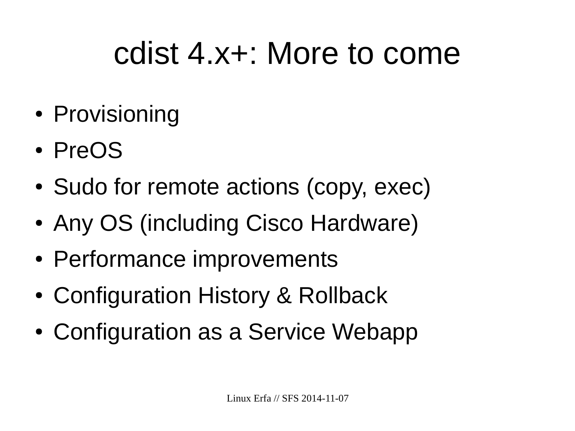### cdist 4.x+: More to come

- Provisioning
- PreOS
- Sudo for remote actions (copy, exec)
- Any OS (including Cisco Hardware)
- Performance improvements
- Configuration History & Rollback
- Configuration as a Service Webapp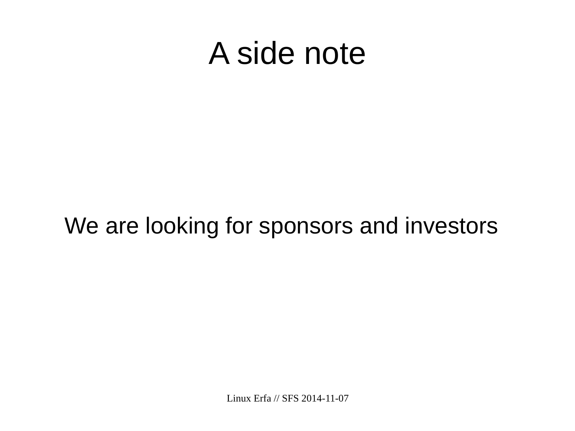### A side note

### We are looking for sponsors and investors